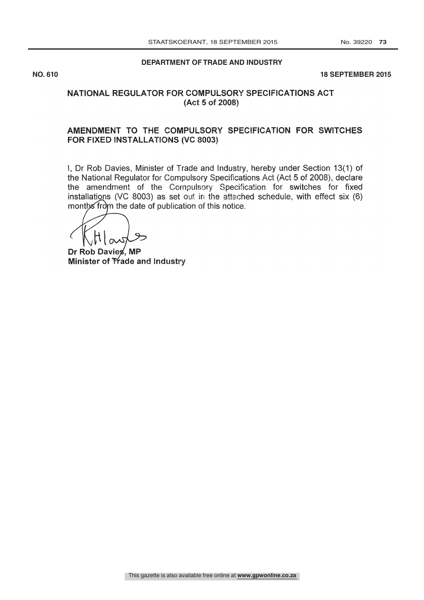#### **DEPARTMENT OF TRADE AND INDUSTRY**

**NO. 610 18 SEPTEMBER 2015** 

#### NATIONAL REGULATOR FOR COMPULSORY SPECIFICATIONS ACT (Act 5 of 2008)

#### AMENDMENT TO THE COMPULSORY SPECIFICATION FOR SWITCHES FOR FIXED INSTALLATIONS (VC 8003)

I, Dr Rob Davies, Minister of Trade and Industry, hereby under Section 13(1) of the National Regulator for Compulsory Specifications Act (Act 5 of 2008), declare the amendment of the Compulsory Specification for switches for fixed installations (VC 8003) as set out in the attached schedule, with effect six (6) months from the date of publication of this notice.

Dr Rob Davies, MP Minister of Trade and Industry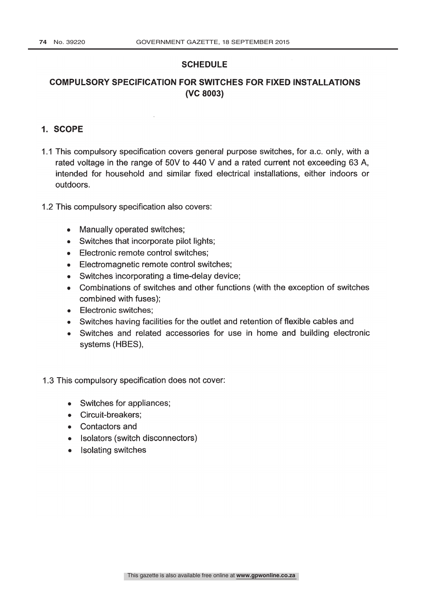#### **SCHEDULE**

## COMPULSORY SPECIFICATION FOR SWITCHES FOR FIXED INSTALLATIONS (VC 8003)

## 1. SCOPE

- 1.1 This compulsory specification covers general purpose switches, for a.c. only, with a rated voltage in the range of 50V to 440 V and a rated current not exceeding 63 A, intended for household and similar fixed electrical installations, either indoors or outdoors.
- 1.2 This compulsory specification also covers:
	- Manually operated switches;
	- Switches that incorporate pilot lights;  $\bullet$
	- Electronic remote control switches;  $\bullet$
	- Electromagnetic remote control switches;  $\bullet$
	- Switches incorporating a time-delay device;  $\bullet$
	- Combinations of switches and other functions (with the exception of switches combined with fuses);
	- Electronic switches:
	- Switches having facilities for the outlet and retention of flexible cables and
	- Switches and related accessories for use in home and building electronic  $\bullet$ systems (HBES),
- 1.3 This compulsory specification does not cover:
	- Switches for appliances;
	- Circuit-breakers:
	- Contactors and
	- Isolators (switch disconnectors)
	- Isolating switches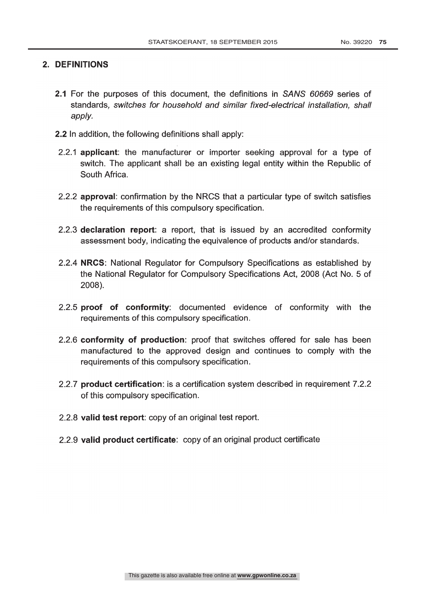## 2. DEFINITIONS

- 2.1 For the purposes of this document, the definitions in SANS 60669 series of standards, switches for household and similar fixed -electrical installation, shall apply.
- 2.2 In addition, the following definitions shall apply:
- 2.2.1 applicant: the manufacturer or importer seeking approval for a type of switch. The applicant shall be an existing legal entity within the Republic of South Africa.
- 2.2.2 approval: confirmation by the NRCS that a particular type of switch satisfies the requirements of this compulsory specification.
- 2.2.3 declaration report: a report, that is issued by an accredited conformity assessment body, indicating the equivalence of products and/or standards.
- 2.2.4 NRCS: National Regulator for Compulsory Specifications as established by the National Regulator for Compulsory Specifications Act, 2008 (Act No. 5 of 2008).
- 2.2.5 proof of conformity: documented evidence of conformity with the requirements of this compulsory specification.
- 2.2.6 conformity of production: proof that switches offered for sale has been manufactured to the approved design and continues to comply with the requirements of this compulsory specification.
- 2.2.7 product certification: is a certification system described in requirement 7.2.2 of this compulsory specification.
- 2.2.8 valid test report: copy of an original test report.
- 2.2.9 valid product certificate: copy of an original product certificate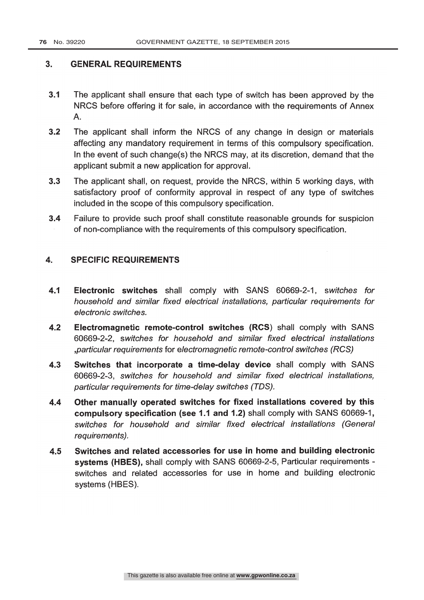#### 3. GENERAL REQUIREMENTS

- 3.1 The applicant shall ensure that each type of switch has been approved by the NRCS before offering it for sale, in accordance with the requirements of Annex A.
- 3.2 The applicant shall inform the NRCS of any change in design or materials affecting any mandatory requirement in terms of this compulsory specification. In the event of such change(s) the NRCS may, at its discretion, demand that the applicant submit a new application for approval.
- 3.3 The applicant shall, on request, provide the NRCS, within 5 working days, with satisfactory proof of conformity approval in respect of any type of switches included in the scope of this compulsory specification.
- 3.4 Failure to provide such proof shall constitute reasonable grounds for suspicion of non -compliance with the requirements of this compulsory specification.

#### 4. SPECIFIC REQUIREMENTS

- 4.1 Electronic switches shall comply with SANS 60669-2-1, switches for household and similar fixed electrical installations, particular requirements for electronic switches.
- 4.2 Electromagnetic remote-control switches (RCS) shall comply with SANS 60669 -2 -2, switches for household and similar fixed electrical installations ,particular requirements for electromagnetic remote -control switches (RCS)
- 4.3 Switches that incorporate a time-delay device shall comply with SANS 60669 -2 -3, switches for household and similar fixed electrical installations, particular requirements for time -delay switches (TDS).
- 4.4 Other manually operated switches for fixed installations covered by this compulsory specification (see 1.1 and 1.2) shall comply with SANS 60669 -1, switches for household and similar fixed electrical installations (General requirements).
- 4.5 Switches and related accessories for use in home and building electronic systems (HBES), shall comply with SANS 60669-2-5, Particular requirements switches and related accessories for use in home and building electronic systems (HBES).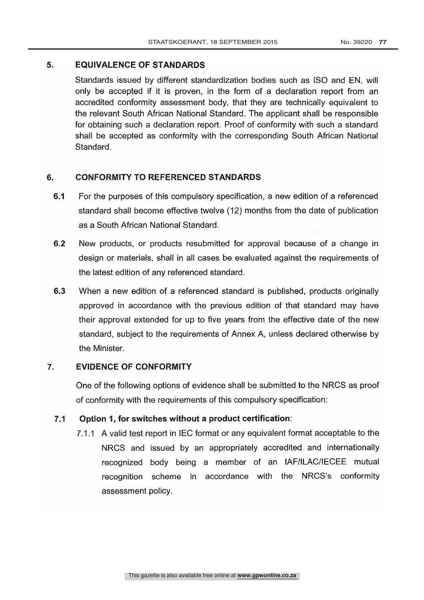#### 5. EQUIVALENCE OF STANDARDS

Standards issued by different standardization bodies such as ISO and EN, will only be accepted if it is proven, in the form of a declaration report from an accredited conformity assessment body, that they are technically equivalent to the relevant South African National Standard. The applicant shall be responsible for obtaining such a declaration report. Proof of conformity with such a standard shall be accepted as conformity with the corresponding South African National Standard.

#### 6. CONFORMITY TO REFERENCED STANDARDS

- 6.1 For the purposes of this compulsory specification, a new edition of a referenced standard shall become effective twelve (12) months from the date of publication as a South African National Standard.
- 6.2 New products, or products resubmitted for approval because of a change in design or materials, shall in all cases be evaluated against the requirements of the latest edition of any referenced standard.
- 6.3 When a new edition of a referenced standard is published, products originally approved in accordance with the previous edition of that standard may have their approval extended for up to five years from the effective date of the new standard, subject to the requirements of Annex A, unless declared otherwise by the Minister.

#### 7. EVIDENCE OF CONFORMITY

One of the following options of evidence shall be submitted to the NRCS as proof of conformity with the requirements of this compulsory specification:

#### 7.1 Option 1, for switches without a product certification:

7.1.1 A valid test report in IEC format or any equivalent format acceptable to the NRCS and issued by an appropriately accredited and internationally recognized body being a member of an IAF/ILAC/IECEE mutual recognition scheme in accordance with the NRCS's conformity assessment policy.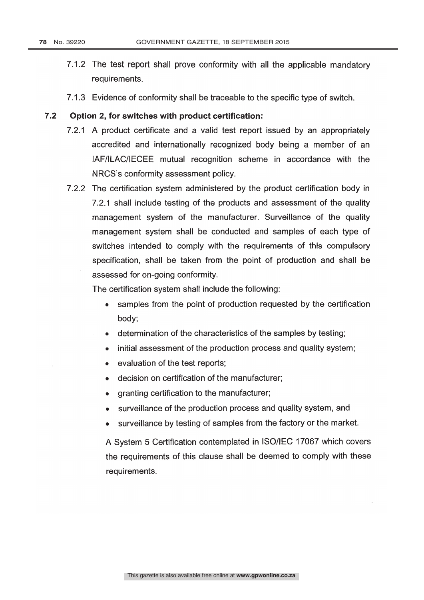- 7.1.2 The test report shall prove conformity with all the applicable mandatory requirements.
- 7.1.3 Evidence of conformity shall be traceable to the specific type of switch.

#### 7.2 Option 2, for switches with product certification:

- 7.2.1 A product certificate and a valid test report issued by an appropriately accredited and internationally recognized body being a member of an IAF /ILAC /IECEE mutual recognition scheme in accordance with the NRCS's conformity assessment policy.
- 7.2.2 The certification system administered by the product certification body in 7.2.1 shall include testing of the products and assessment of the quality management system of the manufacturer. Surveillance of the quality management system shall be conducted and samples of each type of switches intended to comply with the requirements of this compulsory specification, shall be taken from the point of production and shall be assessed for on -going conformity.

The certification system shall include the following:

- samples from the point of production requested by the certification  $\bullet$ body;
- determination of the characteristics of the samples by testing;  $\bullet$
- initial assessment of the production process and quality system;  $\bullet$
- evaluation of the test reports;
- decision on certification of the manufacturer;
- granting certification to the manufacturer;
- surveillance of the production process and quality system, and
- surveillance by testing of samples from the factory or the market.

A System 5 Certification contemplated in ISO/IEC 17067 which covers the requirements of this clause shall be deemed to comply with these requirements.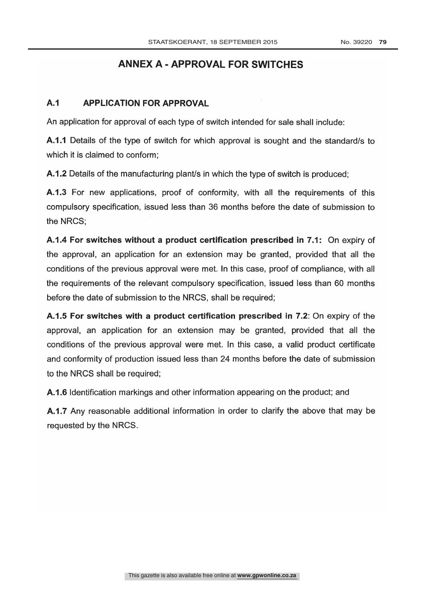# ANNEX A - APPROVAL FOR SWITCHES

### A.1 APPLICATION FOR APPROVAL

An application for approval of each type of switch intended for sale shall include:

A.1.1 Details of the type of switch for which approval is sought and the standard/s to which it is claimed to conform;

A.1.2 Details of the manufacturing plant/s in which the type of switch is produced;

A.1.3 For new applications, proof of conformity, with all the requirements of this compulsory specification, issued less than 36 months before the date of submission to the NRCS;

A.1.4 For switches without a product certification prescribed in 7.1: On expiry of the approval, an application for an extension may be granted, provided that all the conditions of the previous approval were met. In this case, proof of compliance, with all the requirements of the relevant compulsory specification, issued less than 60 months before the date of submission to the NRCS, shall be required;

A.1.5 For switches with a product certification prescribed in 7.2: On expiry of the approval, an application for an extension may be granted, provided that all the conditions of the previous approval were met. In this case, a valid product certificate and conformity of production issued less than 24 months before the date of submission to the NRCS shall be required;

A.1.6 Identification markings and other information appearing on the product; and

A.1.7 Any reasonable additional information in order to clarify the above that may be requested by the NRCS.